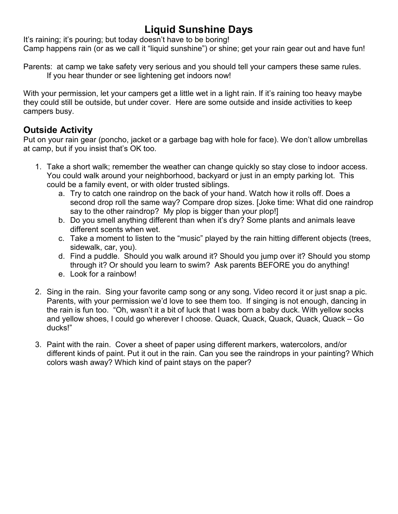# **Liquid Sunshine Days**

It's raining; it's pouring; but today doesn't have to be boring! Camp happens rain (or as we call it "liquid sunshine") or shine; get your rain gear out and have fun!

Parents: at camp we take safety very serious and you should tell your campers these same rules. If you hear thunder or see lightening get indoors now!

With your permission, let your campers get a little wet in a light rain. If it's raining too heavy maybe they could still be outside, but under cover. Here are some outside and inside activities to keep campers busy.

# **Outside Activity**

Put on your rain gear (poncho, jacket or a garbage bag with hole for face). We don't allow umbrellas at camp, but if you insist that's OK too.

- 1. Take a short walk; remember the weather can change quickly so stay close to indoor access. You could walk around your neighborhood, backyard or just in an empty parking lot. This could be a family event, or with older trusted siblings.
	- a. Try to catch one raindrop on the back of your hand. Watch how it rolls off. Does a second drop roll the same way? Compare drop sizes. [Joke time: What did one raindrop say to the other raindrop? My plop is bigger than your plop!
	- b. Do you smell anything different than when it's dry? Some plants and animals leave different scents when wet.
	- c. Take a moment to listen to the "music" played by the rain hitting different objects (trees, sidewalk, car, you).
	- d. Find a puddle. Should you walk around it? Should you jump over it? Should you stomp through it? Or should you learn to swim? Ask parents BEFORE you do anything!
	- e. Look for a rainbow!
- 2. Sing in the rain. Sing your favorite camp song or any song. Video record it or just snap a pic. Parents, with your permission we'd love to see them too. If singing is not enough, dancing in the rain is fun too. "Oh, wasn't it a bit of luck that I was born a baby duck. With yellow socks and yellow shoes, I could go wherever I choose. Quack, Quack, Quack, Quack, Quack – Go ducks!"
- 3. Paint with the rain. Cover a sheet of paper using different markers, watercolors, and/or different kinds of paint. Put it out in the rain. Can you see the raindrops in your painting? Which colors wash away? Which kind of paint stays on the paper?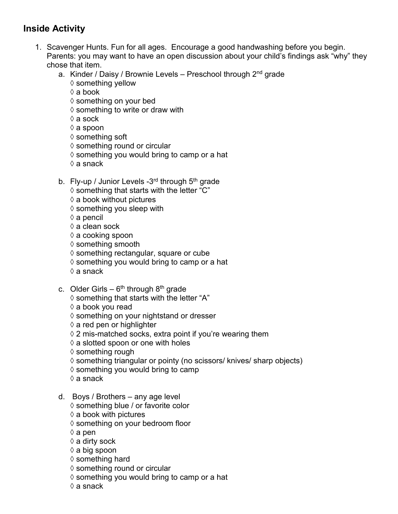# **Inside Activity**

- 1. Scavenger Hunts. Fun for all ages. Encourage a good handwashing before you begin. Parents: you may want to have an open discussion about your child's findings ask "why" they chose that item.
	- a. Kinder / Daisy / Brownie Levels Preschool through 2<sup>nd</sup> grade  $\diamond$  something yellow
		- ◊ a book
		- $\diamond$  something on your bed
		- $\diamond$  something to write or draw with
		- $\Diamond$  a sock
		- ◊ a spoon
		- $\diamond$  something soft
		- ◊ something round or circular
		- $\diamond$  something you would bring to camp or a hat
		- $\Diamond$  a snack
	- b. Fly-up / Junior Levels  $-3^{rd}$  through  $5^{th}$  grade
		- $\diamond$  something that starts with the letter "C"
		- $\diamond$  a book without pictures
		- $\diamond$  something you sleep with
		- ◊ a pencil
		- ◊ a clean sock
		- $\Diamond$  a cooking spoon
		- $\diamond$  something smooth
		- ◊ something rectangular, square or cube
		- $\Diamond$  something you would bring to camp or a hat
		- ◊ a snack
	- c. Older Girls  $6<sup>th</sup>$  through  $8<sup>th</sup>$  grade
		- $\diamond$  something that starts with the letter "A"
		- ◊ a book you read
		- ◊ something on your nightstand or dresser
		- $\diamond$  a red pen or highlighter
		- $\Diamond$  2 mis-matched socks, extra point if you're wearing them
		- $\diamond$  a slotted spoon or one with holes
		- $\diamond$  something rough
		- ◊ something triangular or pointy (no scissors/ knives/ sharp objects)
		- $\diamond$  something you would bring to camp
		- ◊ a snack
	- d. Boys / Brothers any age level
		- ◊ something blue / or favorite color
		- $\diamond$  a book with pictures
		- ◊ something on your bedroom floor
		- $\Diamond$  a pen
		- ◊ a dirty sock
		- ◊ a big spoon
		- ◊ something hard
		- ◊ something round or circular
		- $\Diamond$  something you would bring to camp or a hat
		- ◊ a snack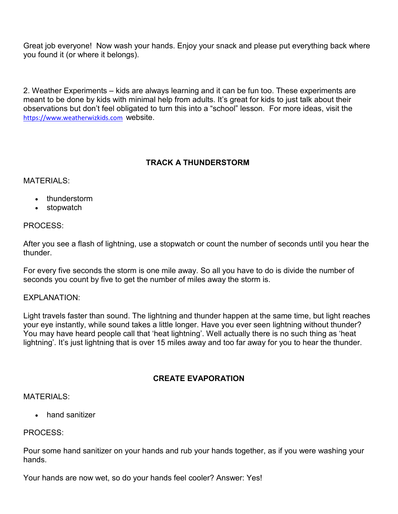Great job everyone! Now wash your hands. Enjoy your snack and please put everything back where you found it (or where it belongs).

2. Weather Experiments – kids are always learning and it can be fun too. These experiments are meant to be done by kids with minimal help from adults. It's great for kids to just talk about their observations but don't feel obligated to turn this into a "school" lesson. For more ideas, visit the [https://www.weatherwizkids.com](https://www.weatherwizkids.com/) website.

# **TRACK A THUNDERSTORM**

#### MATERIALS:

- thunderstorm
- stopwatch

#### PROCESS:

After you see a flash of lightning, use a stopwatch or count the number of seconds until you hear the thunder.

For every five seconds the storm is one mile away. So all you have to do is divide the number of seconds you count by five to get the number of miles away the storm is.

#### EXPLANATION:

Light travels faster than sound. The lightning and thunder happen at the same time, but light reaches your eye instantly, while sound takes a little longer. Have you ever seen lightning without thunder? You may have heard people call that 'heat lightning'. Well actually there is no such thing as 'heat lightning'. It's just lightning that is over 15 miles away and too far away for you to hear the thunder.

#### **CREATE EVAPORATION**

#### MATFRIALS:

• hand sanitizer

#### PROCESS:

Pour some hand sanitizer on your hands and rub your hands together, as if you were washing your hands.

Your hands are now wet, so do your hands feel cooler? Answer: Yes!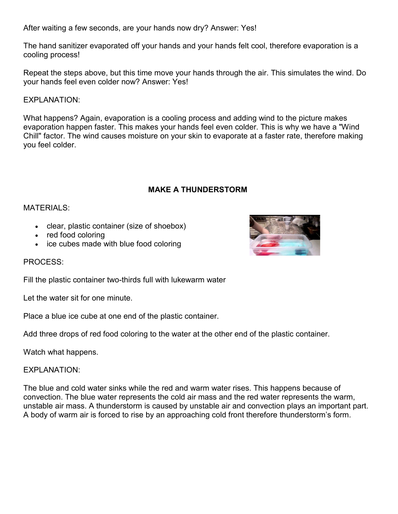After waiting a few seconds, are your hands now dry? Answer: Yes!

The hand sanitizer evaporated off your hands and your hands felt cool, therefore evaporation is a cooling process!

Repeat the steps above, but this time move your hands through the air. This simulates the wind. Do your hands feel even colder now? Answer: Yes!

#### EXPLANATION:

What happens? Again, evaporation is a cooling process and adding wind to the picture makes evaporation happen faster. This makes your hands feel even colder. This is why we have a "Wind Chill" factor. The wind causes moisture on your skin to evaporate at a faster rate, therefore making you feel colder.

# **MAKE A THUNDERSTORM**

#### MATERIALS:

- clear, plastic container (size of shoebox)
- red food coloring
- ice cubes made with blue food coloring

PROCESS:

Fill the plastic container two-thirds full with lukewarm water

Let the water sit for one minute.

Place a blue ice cube at one end of the plastic container.

Add three drops of red food coloring to the water at the other end of the plastic container.

Watch what happens.

#### EXPLANATION:

The blue and cold water sinks while the red and warm water rises. This happens because of convection. The blue water represents the cold air mass and the red water represents the warm, unstable air mass. A thunderstorm is caused by unstable air and convection plays an important part. A body of warm air is forced to rise by an approaching cold front therefore thunderstorm's form.